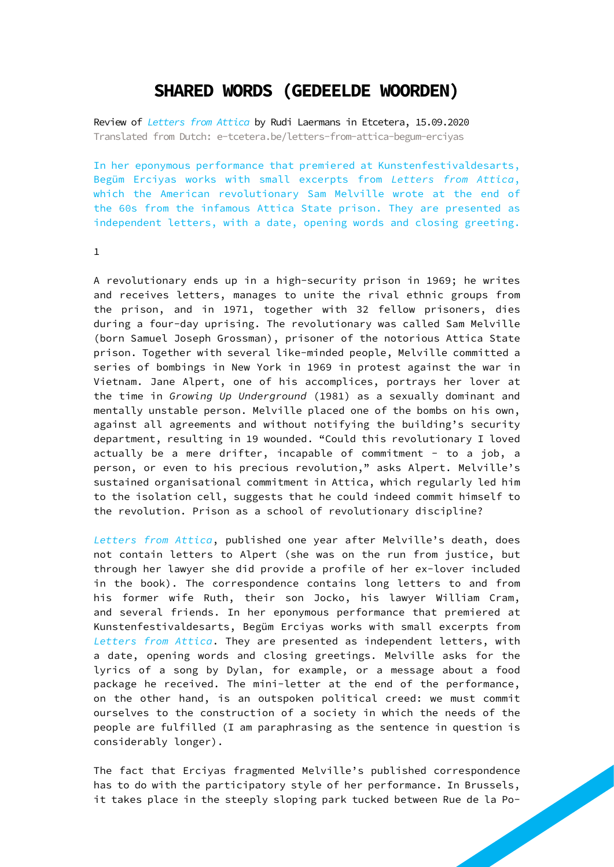## **SHARED WORDS (GEDEELDE WOORDEN)**

Review of *Letters from Attica* by Rudi Laermans in Etcetera, 15.09.2020 Translated from Dutch: [e-tcetera.be/letters-from-attica-begum-erciyas](http://e-tcetera.be/letters-from-attica-begum-erciyas)

In her eponymous performance that premiered at Kunstenfestivaldesarts, Begüm Erciyas works with small excerpts from *Letters from Attica*, which the American revolutionary Sam Melville wrote at the end of the 60s from the infamous Attica State prison. They are presented as independent letters, with a date, opening words and closing greeting.

1

A revolutionary ends up in a high-security prison in 1969; he writes and receives letters, manages to unite the rival ethnic groups from the prison, and in 1971, together with 32 fellow prisoners, dies during a four-day uprising. The revolutionary was called Sam Melville (born Samuel Joseph Grossman), prisoner of the notorious Attica State prison. Together with several like-minded people, Melville committed a series of bombings in New York in 1969 in protest against the war in Vietnam. Jane Alpert, one of his accomplices, portrays her lover at the time in *Growing Up Underground* (1981) as a sexually dominant and mentally unstable person. Melville placed one of the bombs on his own, against all agreements and without notifying the building's security department, resulting in 19 wounded. "Could this revolutionary I loved actually be a mere drifter, incapable of commitment - to a job, a person, or even to his precious revolution," asks Alpert. Melville's sustained organisational commitment in Attica, which regularly led him to the isolation cell, suggests that he could indeed commit himself to the revolution. Prison as a school of revolutionary discipline?

*Letters from Attica*, published one year after Melville's death, does not contain letters to Alpert (she was on the run from justice, but through her lawyer she did provide a profile of her ex-lover included in the book). The correspondence contains long letters to and from his former wife Ruth, their son Jocko, his lawyer William Cram, and several friends. In her eponymous performance that premiered at Kunstenfestivaldesarts, Begüm Erciyas works with small excerpts from *Letters from Attica*. They are presented as independent letters, with a date, opening words and closing greetings. Melville asks for the lyrics of a song by Dylan, for example, or a message about a food package he received. The mini-letter at the end of the performance, on the other hand, is an outspoken political creed: we must commit ourselves to the construction of a society in which the needs of the people are fulfilled (I am paraphrasing as the sentence in question is considerably longer).

The fact that Erciyas fragmented Melville's published correspondence has to do with the participatory style of her performance. In Brussels, it takes place in the steeply sloping park tucked between Rue de la Po-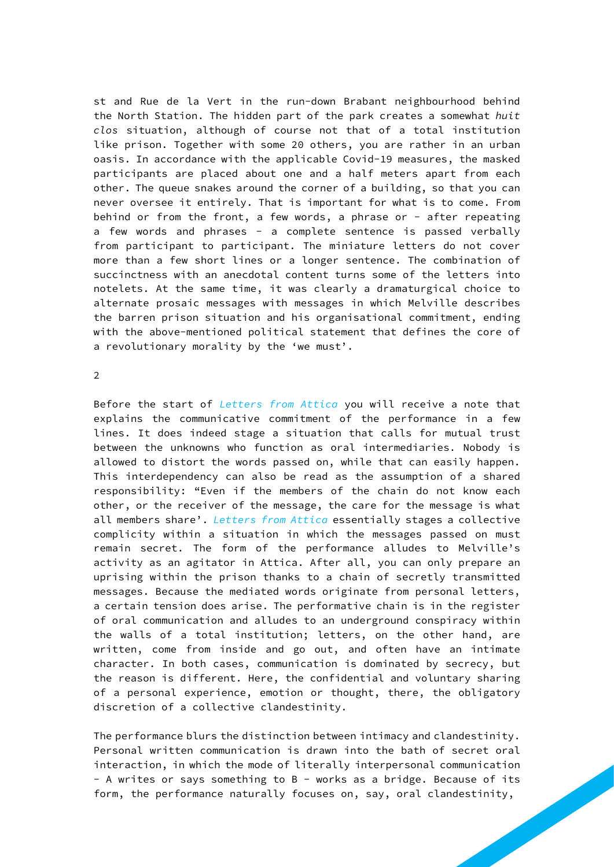st and Rue de la Vert in the run-down Brabant neighbourhood behind the North Station. The hidden part of the park creates a somewhat *huit clos* situation, although of course not that of a total institution like prison. Together with some 20 others, you are rather in an urban oasis. In accordance with the applicable Covid-19 measures, the masked participants are placed about one and a half meters apart from each other. The queue snakes around the corner of a building, so that you can never oversee it entirely. That is important for what is to come. From behind or from the front, a few words, a phrase or  $-$  after repeating a few words and phrases - a complete sentence is passed verbally from participant to participant. The miniature letters do not cover more than a few short lines or a longer sentence. The combination of succinctness with an anecdotal content turns some of the letters into notelets. At the same time, it was clearly a dramaturgical choice to alternate prosaic messages with messages in which Melville describes the barren prison situation and his organisational commitment, ending with the above-mentioned political statement that defines the core of a revolutionary morality by the 'we must'.

2

Before the start of *Letters from Attica* you will receive a note that explains the communicative commitment of the performance in a few lines. It does indeed stage a situation that calls for mutual trust between the unknowns who function as oral intermediaries. Nobody is allowed to distort the words passed on, while that can easily happen. This interdependency can also be read as the assumption of a shared responsibility: "Even if the members of the chain do not know each other, or the receiver of the message, the care for the message is what all members share'. *Letters from Attica* essentially stages a collective complicity within a situation in which the messages passed on must remain secret. The form of the performance alludes to Melville's activity as an agitator in Attica. After all, you can only prepare an uprising within the prison thanks to a chain of secretly transmitted messages. Because the mediated words originate from personal letters, a certain tension does arise. The performative chain is in the register of oral communication and alludes to an underground conspiracy within the walls of a total institution; letters, on the other hand, are written, come from inside and go out, and often have an intimate character. In both cases, communication is dominated by secrecy, but the reason is different. Here, the confidential and voluntary sharing of a personal experience, emotion or thought, there, the obligatory discretion of a collective clandestinity.

The performance blurs the distinction between intimacy and clandestinity. Personal written communication is drawn into the bath of secret oral interaction, in which the mode of literally interpersonal communication - A writes or says something to B - works as a bridge. Because of its form, the performance naturally focuses on, say, oral clandestinity,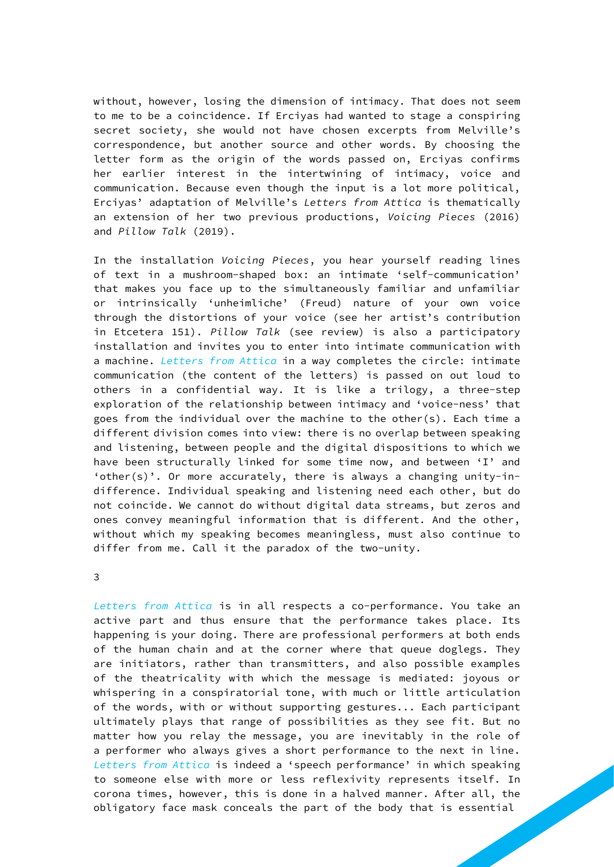without, however, losing the dimension of intimacy. That does not seem to me to be a coincidence. If Erciyas had wanted to stage a conspiring secret society, she would not have chosen excerpts from Melville's correspondence, but another source and other words. By choosing the letter form as the origin of the words passed on, Erciyas confirms her earlier interest in the intertwining of intimacy, voice and communication. Because even though the input is a lot more political, Erciyas' adaptation of Melville's *Letters from Attica* is thematically an extension of her two previous productions, *Voicing Pieces* (2016) and *Pillow Talk* (2019).

In the installation *Voicing Pieces*, you hear yourself reading lines of text in a mushroom-shaped box: an intimate 'self-communication' that makes you face up to the simultaneously familiar and unfamiliar or intrinsically 'unheimliche' (Freud) nature of your own voice through the distortions of your voice (see her artist's contribution in Etcetera 151). *Pillow Talk* (see review) is also a participatory installation and invites you to enter into intimate communication with a machine. *Letters from Attica* in a way completes the circle: intimate communication (the content of the letters) is passed on out loud to others in a confidential way. It is like a trilogy, a three-step exploration of the relationship between intimacy and 'voice-ness' that goes from the individual over the machine to the other(s). Each time a different division comes into view: there is no overlap between speaking and listening, between people and the digital dispositions to which we have been structurally linked for some time now, and between 'I' and 'other(s)'. Or more accurately, there is always a changing unity-indifference. Individual speaking and listening need each other, but do not coincide. We cannot do without digital data streams, but zeros and ones convey meaningful information that is different. And the other, without which my speaking becomes meaningless, must also continue to differ from me. Call it the paradox of the two-unity.

3

*Letters from Attica* is in all respects a co-performance. You take an active part and thus ensure that the performance takes place. Its happening is your doing. There are professional performers at both ends of the human chain and at the corner where that queue doglegs. They are initiators, rather than transmitters, and also possible examples of the theatricality with which the message is mediated: joyous or whispering in a conspiratorial tone, with much or little articulation of the words, with or without supporting gestures... Each participant ultimately plays that range of possibilities as they see fit. But no matter how you relay the message, you are inevitably in the role of a performer who always gives a short performance to the next in line. *Letters from Attica* is indeed a 'speech performance' in which speaking to someone else with more or less reflexivity represents itself. In corona times, however, this is done in a halved manner. After all, the obligatory face mask conceals the part of the body that is essential